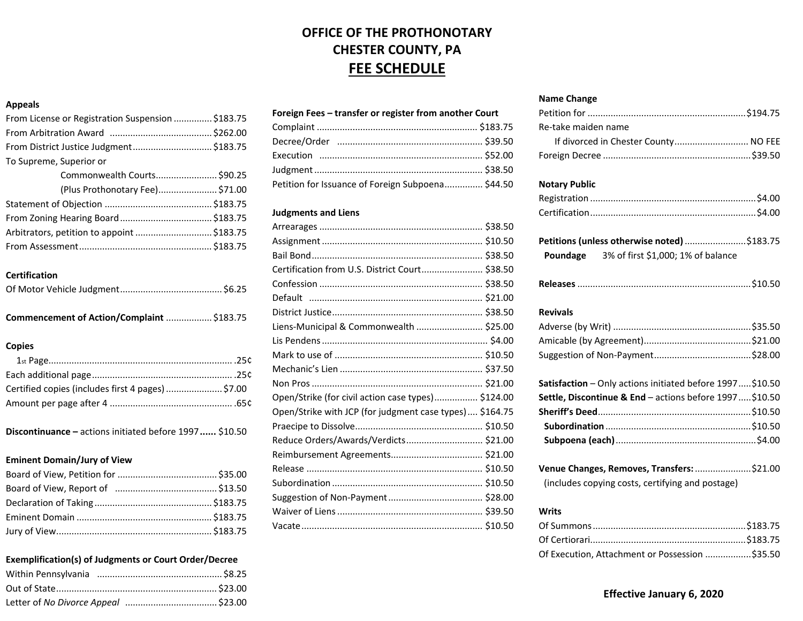## **OFFICE OF THE PROTHONOTARY CHESTER COUNTY, PA FEE SCHEDULE**

## **Appeals**

| From License or Registration Suspension  \$183.75 |
|---------------------------------------------------|
|                                                   |
| From District Justice Judgment\$183.75            |
|                                                   |
| Commonwealth Courts \$90.25                       |
| (Plus Prothonotary Fee) \$71.00                   |
|                                                   |
|                                                   |
| Arbitrators, petition to appoint  \$183.75        |
|                                                   |
|                                                   |

### **Certification**

## **Copies**

| Certified copies (includes first 4 pages)  \$7.00 |  |
|---------------------------------------------------|--|
|                                                   |  |

**Discontinuance –** actions initiated before 1997**......** \$10.50

#### **Eminent Domain/Jury of View**

## **Exemplification(s) of Judgments or Court Order/Decree**

## **Foreign Fees – transfer or register from another Court**

| Petition for Issuance of Foreign Subpoena \$44.50 |  |
|---------------------------------------------------|--|

## **Judgments and Liens**

| Certification from U.S. District Court \$38.50          |  |
|---------------------------------------------------------|--|
|                                                         |  |
|                                                         |  |
|                                                         |  |
| Liens-Municipal & Commonwealth  \$25.00                 |  |
|                                                         |  |
|                                                         |  |
|                                                         |  |
|                                                         |  |
| Open/Strike (for civil action case types) \$124.00      |  |
| Open/Strike with JCP (for judgment case types) \$164.75 |  |
|                                                         |  |
| Reduce Orders/Awards/Verdicts \$21.00                   |  |
|                                                         |  |
|                                                         |  |
|                                                         |  |
|                                                         |  |
|                                                         |  |
|                                                         |  |

#### **Name Change**

| Re-take maiden name                                      |  |
|----------------------------------------------------------|--|
| If divorced in Chester County NO FEE                     |  |
|                                                          |  |
| <b>Notary Public</b>                                     |  |
|                                                          |  |
|                                                          |  |
| Petitions (unless otherwise noted) \$183.75              |  |
| 3% of first \$1,000; 1% of balance<br>Poundage           |  |
|                                                          |  |
| <b>Revivals</b>                                          |  |
|                                                          |  |
|                                                          |  |
|                                                          |  |
| Satisfaction - Only actions initiated before 1997\$10.50 |  |
| Settle, Discontinue & End - actions before 1997\$10.50   |  |
|                                                          |  |
|                                                          |  |
|                                                          |  |
| Venue Changes, Removes, Transfers: \$21.00               |  |
| (includes copying costs, certifying and postage)         |  |
| Writs                                                    |  |
|                                                          |  |

| Of Execution, Attachment or Possession \$35.50 |  |
|------------------------------------------------|--|